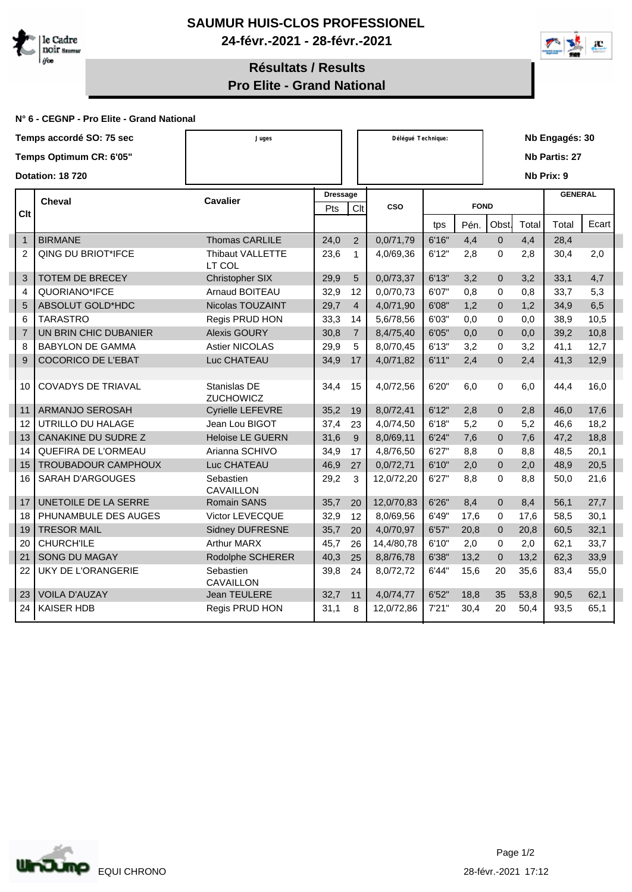



## **Résultats / Results Pro Elite - Grand National**

## **N° 6 - CEGNP - Pro Elite - Grand National**

|                | Temps accordé SO: 75 sec  | Juges                            |                               | Délégué Technique: |            |        |      | Nb Engagés: 30 |       |                |       |  |  |
|----------------|---------------------------|----------------------------------|-------------------------------|--------------------|------------|--------|------|----------------|-------|----------------|-------|--|--|
|                | Temps Optimum CR: 6'05"   |                                  |                               |                    |            |        |      |                |       | Nb Partis: 27  |       |  |  |
|                | <b>Dotation: 18720</b>    |                                  |                               |                    |            |        |      |                |       | Nb Prix: 9     |       |  |  |
|                | <b>Cheval</b>             | <b>Cavalier</b>                  | <b>Dressage</b><br>Pts<br>Clt |                    | CSO        |        |      |                |       | <b>GENERAL</b> |       |  |  |
| Clt            |                           |                                  |                               |                    |            |        |      | <b>FOND</b>    |       |                |       |  |  |
|                |                           |                                  |                               |                    |            | tps    | Pén. | Obst.          | Total | Total          | Ecart |  |  |
| $\mathbf{1}$   | <b>BIRMANE</b>            | Thomas CARLILE                   | 24,0                          | 2                  | 0,0/71,79  | 6'16"  | 4,4  | $\mathbf 0$    | 4,4   | 28,4           |       |  |  |
| $\overline{2}$ | QING DU BRIOT*IFCE        | Thibaut VALLETTE<br>LT COL       | 23,6                          | $\mathbf{1}$       | 4,0/69,36  | 6'12"  | 2,8  | $\mathbf 0$    | 2,8   | 30,4           | 2,0   |  |  |
| 3              | <b>TOTEM DE BRECEY</b>    | Christopher SIX                  | 29,9                          | 5                  | 0,0/73,37  | 6'13"  | 3,2  | $\mathbf 0$    | 3,2   | 33,1           | 4,7   |  |  |
| 4              | QUORIANO*IFCE             | <b>Arnaud BOITEAU</b>            | 32,9                          | 12                 | 0.0/70.73  | 6'07"  | 0.8  | $\Omega$       | 0,8   | 33.7           | 5,3   |  |  |
| 5              | ABSOLUT GOLD*HDC          | Nicolas TOUZAINT                 | 29,7                          | $\overline{4}$     | 4,0/71,90  | 6'08"  | 1,2  | $\mathbf{0}$   | 1,2   | 34,9           | 6,5   |  |  |
| 6              | <b>TARASTRO</b>           | Regis PRUD HON                   | 33,3                          | 14                 | 5,6/78,56  | 6'03"  | 0,0  | $\mathbf 0$    | 0,0   | 38,9           | 10,5  |  |  |
| $\overline{7}$ | UN BRIN CHIC DUBANIER     | <b>Alexis GOURY</b>              | 30,8                          | $\overline{7}$     | 8,4/75,40  | 6'05"  | 0,0  | $\mathbf{0}$   | 0,0   | 39,2           | 10,8  |  |  |
| 8              | <b>BABYLON DE GAMMA</b>   | <b>Astier NICOLAS</b>            | 29,9                          | 5                  | 8,0/70,45  | 6'13"  | 3,2  | 0              | 3,2   | 41,1           | 12,7  |  |  |
| 9              | <b>COCORICO DE L'EBAT</b> | Luc CHATEAU                      | 34,9                          | 17                 | 4,0/71,82  | 6'11"  | 2,4  | $\overline{0}$ | 2,4   | 41,3           | 12,9  |  |  |
| 10             | <b>COVADYS DE TRIAVAL</b> | Stanislas DE<br><b>ZUCHOWICZ</b> | 34,4                          | 15                 | 4,0/72,56  | 6'20"  | 6,0  | 0              | 6,0   | 44,4           | 16,0  |  |  |
| 11             | ARMANJO SEROSAH           | Cyrielle LEFEVRE                 | 35,2                          | 19                 | 8,0/72,41  | 6'12"  | 2,8  | $\mathbf 0$    | 2,8   | 46,0           | 17,6  |  |  |
| 12             | UTRILLO DU HALAGE         | Jean Lou BIGOT                   | 37,4                          | 23                 | 4,0/74,50  | 6'18"  | 5,2  | $\mathbf 0$    | 5,2   | 46,6           | 18,2  |  |  |
| 13             | CANAKINE DU SUDRE Z       | <b>Heloise LE GUERN</b>          | 31,6                          | 9                  | 8,0/69,11  | 6'24"  | 7,6  | $\overline{0}$ | 7,6   | 47,2           | 18,8  |  |  |
| 14             | QUEFIRA DE L'ORMEAU       | Arianna SCHIVO                   | 34,9                          | 17                 | 4,8/76,50  | 6'27"  | 8,8  | $\Omega$       | 8,8   | 48,5           | 20,1  |  |  |
| 15             | TROUBADOUR CAMPHOUX       | Luc CHATEAU                      | 46,9                          | 27                 | 0,0/72,71  | 6'10"  | 2,0  | $\mathbf 0$    | 2,0   | 48,9           | 20,5  |  |  |
| 16             | SARAH D'ARGOUGES          | Sebastien<br><b>CAVAILLON</b>    | 29,2                          | 3                  | 12,0/72,20 | 6'27'' | 8,8  | $\mathbf 0$    | 8,8   | 50,0           | 21,6  |  |  |
| 17             | UNETOILE DE LA SERRE      | <b>Romain SANS</b>               | 35,7                          | 20                 | 12,0/70,83 | 6'26"  | 8,4  | $\mathbf{0}$   | 8,4   | 56,1           | 27,7  |  |  |
| 18             | PHUNAMBULE DES AUGES      | Victor LEVECQUE                  | 32,9                          | 12                 | 8,0/69,56  | 6'49"  | 17,6 | $\mathbf 0$    | 17,6  | 58,5           | 30,1  |  |  |
| 19             | <b>TRESOR MAIL</b>        | <b>Sidney DUFRESNE</b>           | 35,7                          | 20                 | 4,0/70,97  | 6'57"  | 20,8 | $\overline{0}$ | 20,8  | 60,5           | 32,1  |  |  |
| 20             | <b>CHURCH'ILE</b>         | <b>Arthur MARX</b>               | 45,7                          | 26                 | 14,4/80,78 | 6'10"  | 2.0  | 0              | 2.0   | 62,1           | 33,7  |  |  |
| 21             | <b>SONG DU MAGAY</b>      | Rodolphe SCHERER                 | 40,3                          | 25                 | 8,8/76,78  | 6'38"  | 13,2 | $\mathbf 0$    | 13,2  | 62,3           | 33,9  |  |  |
| 22             | <b>UKY DE L'ORANGERIE</b> | Sebastien<br>CAVAILLON           | 39,8                          | 24                 | 8,0/72,72  | 6'44"  | 15,6 | 20             | 35,6  | 83,4           | 55,0  |  |  |
| 23             | <b>VOILA D'AUZAY</b>      | Jean TEULERE                     | 32,7                          | 11                 | 4,0/74,77  | 6'52"  | 18,8 | 35             | 53,8  | 90,5           | 62,1  |  |  |
| 24             | <b>KAISER HDB</b>         | Regis PRUD HON                   | 31,1                          | 8                  | 12,0/72,86 | 7'21"  | 30,4 | 20             | 50.4  | 93,5           | 65,1  |  |  |